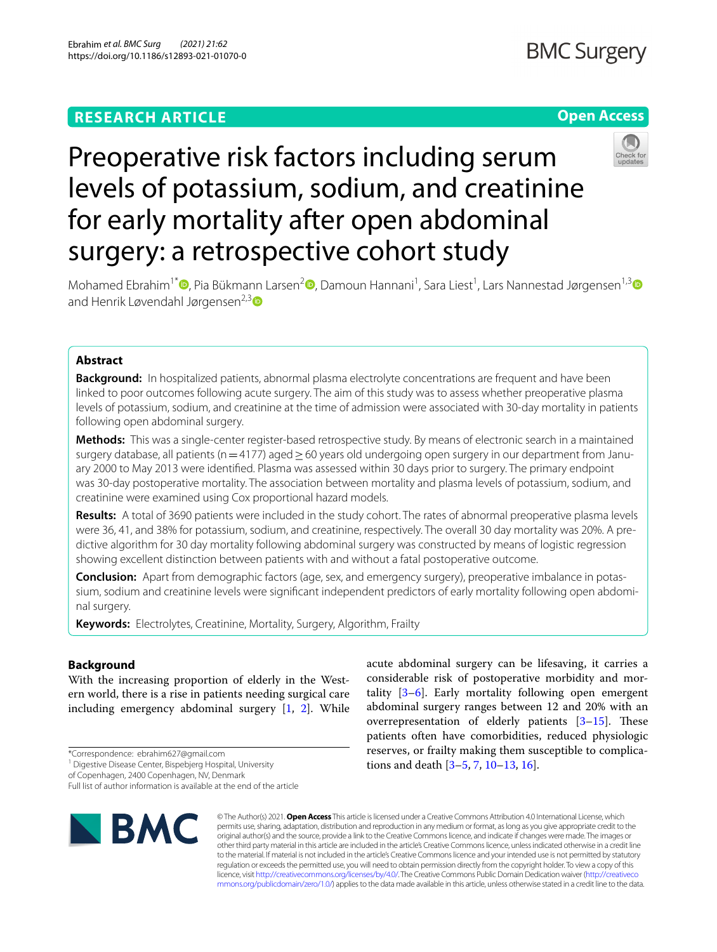# **RESEARCH ARTICLE**

# **Open Access**



# surgery: a retrospective cohort study Mohamed Ebrahim<sup>1\*</sup> <sup>D</sup>[,](https://orcid.org/0000-0003-4474-4098) Pia Bükmann Larsen<sup>[2](https://orcid.org/0000-0001-6428-1719)</sup> D, Damoun Hannani<sup>1</sup>, Sara Liest<sup>1</sup>, Lars Nannestad Jørgensen<sup>1,[3](https://orcid.org/0000-0001-7465-5374)</sup> and Henrik Løvendahl Jørgensen<sup>2,[3](https://orcid.org/0000-0001-6374-761X)</sup>

Preoperative risk factors including serum

for early mortality after open abdominal

levels of potassium, sodium, and creatinine

# **Abstract**

**Background:** In hospitalized patients, abnormal plasma electrolyte concentrations are frequent and have been linked to poor outcomes following acute surgery. The aim of this study was to assess whether preoperative plasma levels of potassium, sodium, and creatinine at the time of admission were associated with 30-day mortality in patients following open abdominal surgery.

**Methods:** This was a single-center register-based retrospective study. By means of electronic search in a maintained surgery database, all patients (n=4177) aged ≥60 years old undergoing open surgery in our department from January 2000 to May 2013 were identifed. Plasma was assessed within 30 days prior to surgery. The primary endpoint was 30-day postoperative mortality. The association between mortality and plasma levels of potassium, sodium, and creatinine were examined using Cox proportional hazard models.

**Results:** A total of 3690 patients were included in the study cohort. The rates of abnormal preoperative plasma levels were 36, 41, and 38% for potassium, sodium, and creatinine, respectively. The overall 30 day mortality was 20%. A predictive algorithm for 30 day mortality following abdominal surgery was constructed by means of logistic regression showing excellent distinction between patients with and without a fatal postoperative outcome.

**Conclusion:** Apart from demographic factors (age, sex, and emergency surgery), preoperative imbalance in potassium, sodium and creatinine levels were signifcant independent predictors of early mortality following open abdominal surgery.

**Keywords:** Electrolytes, Creatinine, Mortality, Surgery, Algorithm, Frailty

# **Background**

With the increasing proportion of elderly in the Western world, there is a rise in patients needing surgical care including emergency abdominal surgery [[1,](#page-8-0) [2\]](#page-8-1). While

\*Correspondence: ebrahim627@gmail.com

of Copenhagen, 2400 Copenhagen, NV, Denmark

Full list of author information is available at the end of the article



acute abdominal surgery can be lifesaving, it carries a considerable risk of postoperative morbidity and mortality  $[3-6]$  $[3-6]$  $[3-6]$ . Early mortality following open emergent abdominal surgery ranges between 12 and 20% with an overrepresentation of elderly patients  $[3-15]$  $[3-15]$  $[3-15]$ . These patients often have comorbidities, reduced physiologic reserves, or frailty making them susceptible to complications and death [\[3](#page-8-2)–[5,](#page-8-5) [7](#page-8-6), [10–](#page-8-7)[13](#page-8-8), [16\]](#page-8-9).

© The Author(s) 2021. **Open Access** This article is licensed under a Creative Commons Attribution 4.0 International License, which permits use, sharing, adaptation, distribution and reproduction in any medium or format, as long as you give appropriate credit to the original author(s) and the source, provide a link to the Creative Commons licence, and indicate if changes were made. The images or other third party material in this article are included in the article's Creative Commons licence, unless indicated otherwise in a credit line to the material. If material is not included in the article's Creative Commons licence and your intended use is not permitted by statutory regulation or exceeds the permitted use, you will need to obtain permission directly from the copyright holder. To view a copy of this licence, visit [http://creativecommons.org/licenses/by/4.0/.](http://creativecommons.org/licenses/by/4.0/) The Creative Commons Public Domain Dedication waiver ([http://creativeco](http://creativecommons.org/publicdomain/zero/1.0/) [mmons.org/publicdomain/zero/1.0/](http://creativecommons.org/publicdomain/zero/1.0/)) applies to the data made available in this article, unless otherwise stated in a credit line to the data.

<sup>&</sup>lt;sup>1</sup> Digestive Disease Center, Bispebjerg Hospital, University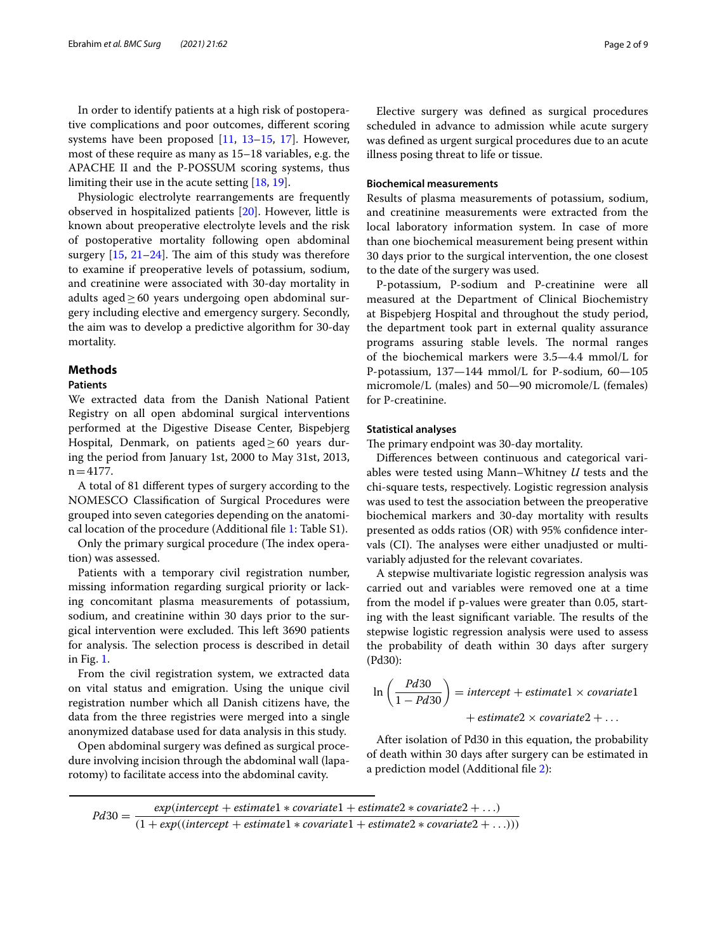In order to identify patients at a high risk of postoperative complications and poor outcomes, diferent scoring systems have been proposed [[11,](#page-8-10) [13–](#page-8-8)[15,](#page-8-4) [17\]](#page-8-11). However, most of these require as many as 15–18 variables, e.g. the APACHE II and the P-POSSUM scoring systems, thus limiting their use in the acute setting [[18,](#page-8-12) [19](#page-8-13)].

Physiologic electrolyte rearrangements are frequently observed in hospitalized patients [\[20](#page-8-14)]. However, little is known about preoperative electrolyte levels and the risk of postoperative mortality following open abdominal surgery  $[15, 21-24]$  $[15, 21-24]$  $[15, 21-24]$  $[15, 21-24]$  $[15, 21-24]$ . The aim of this study was therefore to examine if preoperative levels of potassium, sodium, and creatinine were associated with 30-day mortality in adults aged $\geq 60$  years undergoing open abdominal surgery including elective and emergency surgery. Secondly, the aim was to develop a predictive algorithm for 30-day mortality.

#### **Methods**

#### **Patients**

We extracted data from the Danish National Patient Registry on all open abdominal surgical interventions performed at the Digestive Disease Center, Bispebjerg Hospital, Denmark, on patients aged $\geq 60$  years during the period from January 1st, 2000 to May 31st, 2013,  $n=4177$ .

A total of 81 diferent types of surgery according to the NOMESCO Classifcation of Surgical Procedures were grouped into seven categories depending on the anatomical location of the procedure (Additional fle [1:](#page-7-0) Table S1).

Only the primary surgical procedure (The index operation) was assessed.

Patients with a temporary civil registration number, missing information regarding surgical priority or lacking concomitant plasma measurements of potassium, sodium, and creatinine within 30 days prior to the surgical intervention were excluded. This left 3690 patients for analysis. The selection process is described in detail in Fig. [1](#page-2-0).

From the civil registration system, we extracted data on vital status and emigration. Using the unique civil registration number which all Danish citizens have, the data from the three registries were merged into a single anonymized database used for data analysis in this study.

Open abdominal surgery was defned as surgical procedure involving incision through the abdominal wall (laparotomy) to facilitate access into the abdominal cavity.

Elective surgery was defned as surgical procedures scheduled in advance to admission while acute surgery was defned as urgent surgical procedures due to an acute illness posing threat to life or tissue.

### **Biochemical measurements**

Results of plasma measurements of potassium, sodium, and creatinine measurements were extracted from the local laboratory information system. In case of more than one biochemical measurement being present within 30 days prior to the surgical intervention, the one closest to the date of the surgery was used.

P-potassium, P-sodium and P-creatinine were all measured at the Department of Clinical Biochemistry at Bispebjerg Hospital and throughout the study period, the department took part in external quality assurance programs assuring stable levels. The normal ranges of the biochemical markers were 3.5—4.4 mmol/L for P-potassium, 137—144 mmol/L for P-sodium, 60—105 micromole/L (males) and 50—90 micromole/L (females) for P-creatinine.

#### **Statistical analyses**

The primary endpoint was 30-day mortality.

Diferences between continuous and categorical variables were tested using Mann–Whitney *U* tests and the chi-square tests, respectively. Logistic regression analysis was used to test the association between the preoperative biochemical markers and 30-day mortality with results presented as odds ratios (OR) with 95% confdence intervals (CI). The analyses were either unadjusted or multivariably adjusted for the relevant covariates.

A stepwise multivariate logistic regression analysis was carried out and variables were removed one at a time from the model if p-values were greater than 0.05, starting with the least significant variable. The results of the stepwise logistic regression analysis were used to assess the probability of death within 30 days after surgery (Pd30):

$$
\ln\left(\frac{Pd30}{1 - Pd30}\right) = intercept + estimate1 \times covariate1
$$
  
+ estimate2 \times covariate2 + ...

After isolation of Pd30 in this equation, the probability of death within 30 days after surgery can be estimated in a prediction model (Additional fle [2\)](#page-7-1):

$$
Pd30 = \frac{exp(intexcept + estimate1 * covariate1 + estimate2 * covariate2 + ...)}{(1 + exp((intercept + estimate1 * covariate1 + estimate2 * covariate2 + ...)))}
$$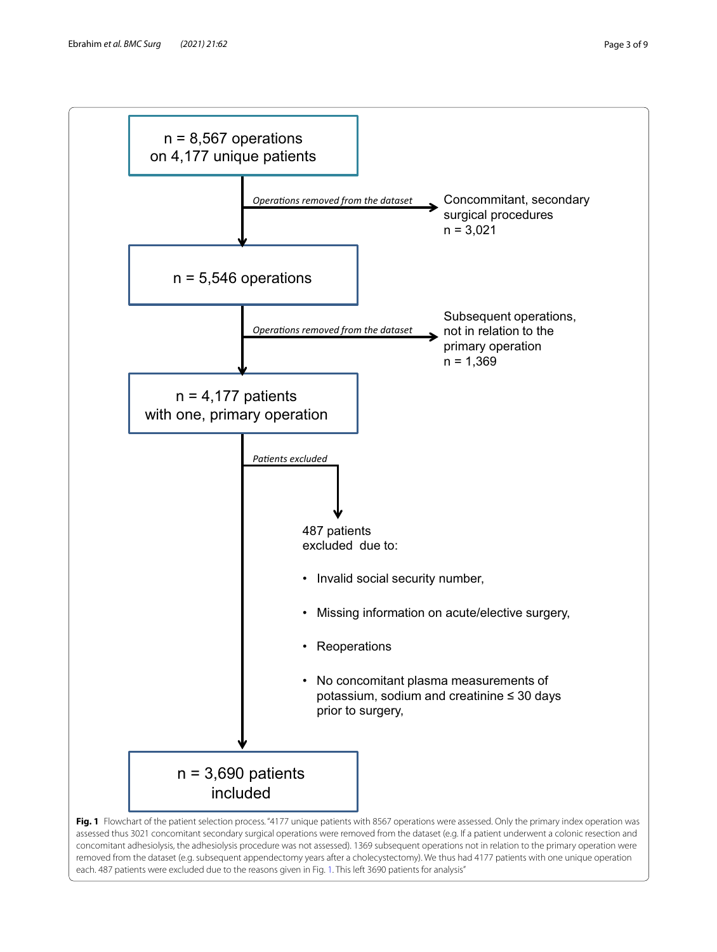

<span id="page-2-0"></span>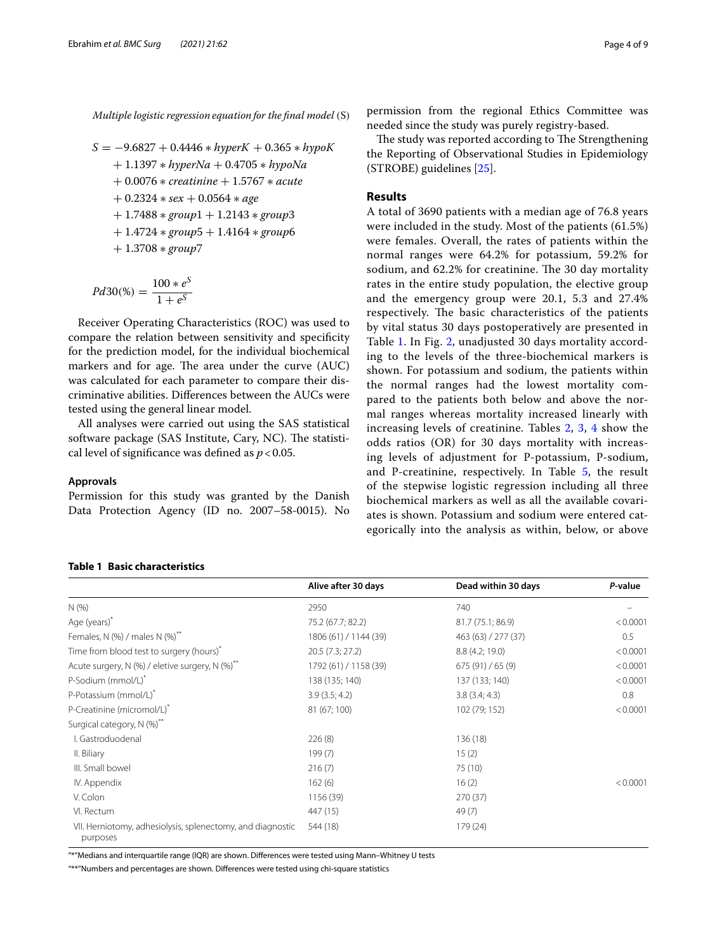Multiple logistic regression equation for the final model (S)

$$
S = -9.6827 + 0.4446 * hyperK + 0.365 * hypoK + 1.1397 * hyperNa + 0.4705 * hypoNa + 0.0076 * creationine + 1.5767 * acute + 0.2324 * sex + 0.0564 * age + 1.7488 * group1 + 1.2143 * group3 + 1.4724 * group5 + 1.4164 * group6 + 1.3708 * group7
$$

$$
Pd30(\%) = \frac{100 * e^{S}}{1 + e^{S}}
$$

Receiver Operating Characteristics (ROC) was used to compare the relation between sensitivity and specifcity for the prediction model, for the individual biochemical markers and for age. The area under the curve (AUC) was calculated for each parameter to compare their discriminative abilities. Diferences between the AUCs were tested using the general linear model.

All analyses were carried out using the SAS statistical software package (SAS Institute, Cary, NC). The statistical level of signifcance was defned as *p*<0.05.

#### **Approvals**

Permission for this study was granted by the Danish Data Protection Agency (ID no. 2007–58-0015). No

# permission from the regional Ethics Committee was needed since the study was purely registry-based.

The study was reported according to The Strengthening the Reporting of Observational Studies in Epidemiology (STROBE) guidelines [[25\]](#page-8-17).

# **Results**

A total of 3690 patients with a median age of 76.8 years were included in the study. Most of the patients (61.5%) were females. Overall, the rates of patients within the normal ranges were 64.2% for potassium, 59.2% for sodium, and 62.2% for creatinine. The 30 day mortality rates in the entire study population, the elective group and the emergency group were 20.1, 5.3 and 27.4% respectively. The basic characteristics of the patients by vital status 30 days postoperatively are presented in Table [1.](#page-3-0) In Fig. [2,](#page-4-0) unadjusted 30 days mortality according to the levels of the three-biochemical markers is shown. For potassium and sodium, the patients within the normal ranges had the lowest mortality compared to the patients both below and above the normal ranges whereas mortality increased linearly with increasing levels of creatinine. Tables [2](#page-4-1), [3](#page-5-0), [4](#page-5-1) show the odds ratios (OR) for 30 days mortality with increasing levels of adjustment for P-potassium, P-sodium, and P-creatinine, respectively. In Table [5,](#page-6-0) the result of the stepwise logistic regression including all three biochemical markers as well as all the available covariates is shown. Potassium and sodium were entered categorically into the analysis as within, below, or above

## <span id="page-3-0"></span>**Table 1 Basic characteristics**

|                                                                        | Alive after 30 days   | Dead within 30 days | P-value  |
|------------------------------------------------------------------------|-----------------------|---------------------|----------|
| N(%                                                                    | 2950                  | 740                 |          |
| Age (years)*                                                           | 75.2 (67.7; 82.2)     | 81.7 (75.1; 86.9)   | < 0.0001 |
| Females, N $(\%)$ / males N $(\%)^*$                                   | 1806 (61) / 1144 (39) | 463 (63) / 277 (37) | 0.5      |
| Time from blood test to surgery (hours)*                               | 20.5 (7.3; 27.2)      | 8.8(4.2; 19.0)      | < 0.0001 |
| Acute surgery, N (%) / eletive surgery, N (%)**                        | 1792 (61) / 1158 (39) | 675(91)/65(9)       | < 0.0001 |
| P-Sodium (mmol/L) <sup>*</sup>                                         | 138 (135; 140)        | 137 (133; 140)      | < 0.0001 |
| P-Potassium (mmol/L)*                                                  | 3.9(3.5; 4.2)         | 3.8(3.4; 4.3)       | 0.8      |
| P-Creatinine (micromol/L)*                                             | 81 (67; 100)          | 102 (79; 152)       | < 0.0001 |
| Surgical category, N (%) <sup>**</sup>                                 |                       |                     |          |
| I. Gastroduodenal                                                      | 226(8)                | 136 (18)            |          |
| II. Biliary                                                            | 199(7)                | 15(2)               |          |
| III. Small bowel                                                       | 216(7)                | 75 (10)             |          |
| IV. Appendix                                                           | 162(6)                | 16(2)               | < 0.0001 |
| V. Colon                                                               | 1156 (39)             | 270(37)             |          |
| VI. Rectum                                                             | 447 (15)              | 49(7)               |          |
| VII. Herniotomy, adhesiolysis, splenectomy, and diagnostic<br>purposes | 544 (18)              | 179 (24)            |          |

"\*"Medians and interquartile range (IQR) are shown. Diferences were tested using Mann–Whitney U tests

"\*\*"Numbers and percentages are shown. Diferences were tested using chi-square statistics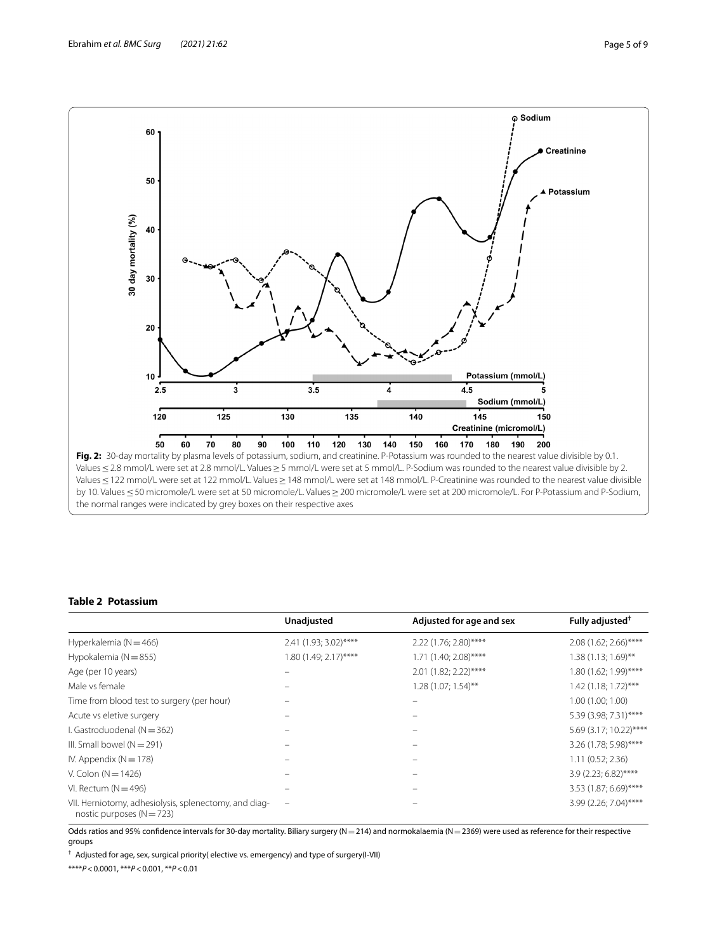

## <span id="page-4-1"></span><span id="page-4-0"></span>**Table 2 Potassium**

|                                                                                        | Unadjusted            | Adjusted for age and sex | Fully adjusted <sup>†</sup> |
|----------------------------------------------------------------------------------------|-----------------------|--------------------------|-----------------------------|
| Hyperkalemia ( $N = 466$ )                                                             | 2.41 (1.93; 3.02)**** | 2.22 (1.76; 2.80)****    | $2.08$ (1.62; 2.66)****     |
| Hypokalemia ( $N = 855$ )                                                              | 1.80 (1.49; 2.17)**** | $1.71$ (1.40; 2.08)****  | $1.38(1.13; 1.69)$ **       |
| Age (per 10 years)                                                                     |                       | $2.01$ (1.82; 2.22)****  | 1.80 (1.62; 1.99)****       |
| Male vs female                                                                         |                       | $1.28(1.07; 1.54)$ **    | 1.42 (1.18; 1.72)***        |
| Time from blood test to surgery (per hour)                                             |                       |                          | 1.00 (1.00; 1.00)           |
| Acute vs eletive surgery                                                               |                       |                          | 5.39 (3.98; 7.31)****       |
| I. Gastroduodenal ( $N = 362$ )                                                        |                       |                          | 5.69 (3.17; 10.22)****      |
| III. Small bowel $(N = 291)$                                                           |                       |                          | 3.26 (1.78; 5.98)****       |
| IV. Appendix ( $N = 178$ )                                                             |                       |                          | 1.11 (0.52; 2.36)           |
| V. Colon ( $N = 1426$ )                                                                |                       |                          | $3.9(2.23; 6.82)$ ****      |
| VI. Rectum ( $N = 496$ )                                                               |                       |                          | $3.53$ (1.87; 6.69)****     |
| VII. Herniotomy, adhesiolysis, splenectomy, and diag-<br>nostic purposes ( $N = 723$ ) |                       |                          | 3.99 (2.26; 7.04)****       |

Odds ratios and 95% confidence intervals for 30-day mortality. Biliary surgery (N=214) and normokalaemia (N=2369) were used as reference for their respective groups

† Adjusted for age, sex, surgical priority( elective vs. emergency) and type of surgery(I-VII)

\*\*\*\**P*<0.0001, \*\*\**P*<0.001, \*\**P*<0.01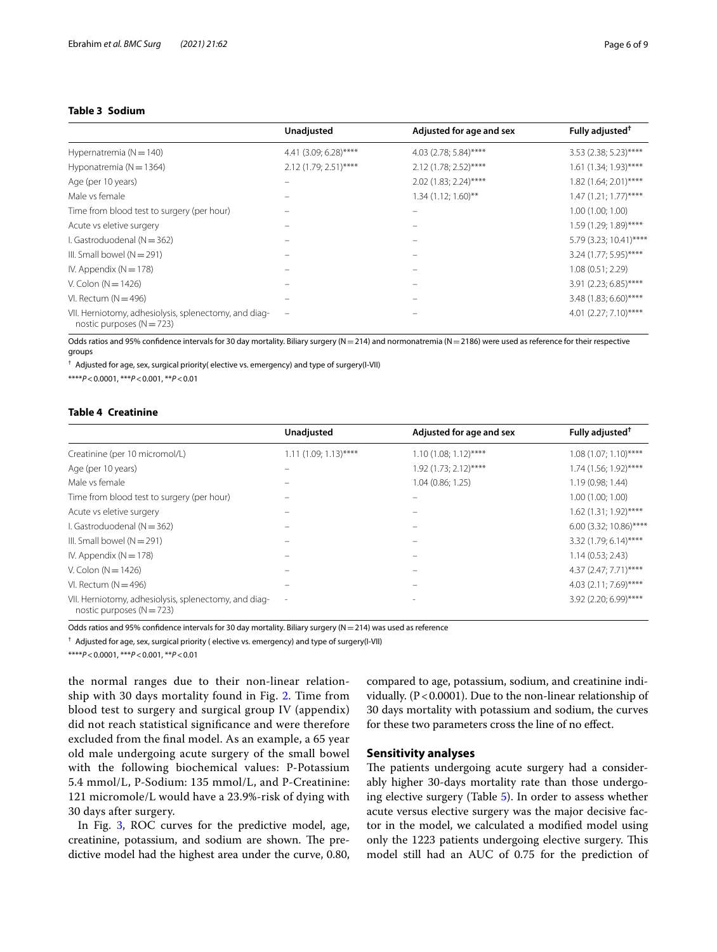# <span id="page-5-0"></span>**Table 3 Sodium**

|                                                                                        | Unadjusted              | Adjusted for age and sex | Fully adjusted <sup>†</sup> |
|----------------------------------------------------------------------------------------|-------------------------|--------------------------|-----------------------------|
| Hypernatremia ( $N = 140$ )                                                            | 4.41 (3.09; 6.28)****   | 4.03 (2.78; 5.84)****    | 3.53 (2.38; 5.23)****       |
| Hyponatremia ( $N = 1364$ )                                                            | $2.12$ (1.79; 2.51)**** | 2.12 (1.78; 2.52)****    | $1.61$ (1.34; 1.93)****     |
| Age (per 10 years)                                                                     | -                       | $2.02$ (1.83; 2.24)****  | $1.82$ (1.64; 2.01)****     |
| Male vs female                                                                         |                         | $1.34(1.12; 1.60)$ **    | $1.47(1.21; 1.77)$ ****     |
| Time from blood test to surgery (per hour)                                             |                         |                          | 1.00(1.00; 1.00)            |
| Acute vs eletive surgery                                                               |                         |                          | $1.59(1.29; 1.89)$ ****     |
| I. Gastroduodenal ( $N = 362$ )                                                        |                         |                          | 5.79 (3.23; 10.41)****      |
| III. Small bowel $(N = 291)$                                                           |                         |                          | $3.24$ (1.77; 5.95)****     |
| IV. Appendix ( $N = 178$ )                                                             |                         |                          | 1.08(0.51; 2.29)            |
| V. Colon ( $N = 1426$ )                                                                |                         |                          | 3.91 (2.23; 6.85)****       |
| VI. Rectum ( $N = 496$ )                                                               |                         |                          | 3.48 (1.83; 6.60)****       |
| VII. Herniotomy, adhesiolysis, splenectomy, and diag-<br>nostic purposes ( $N = 723$ ) | $\qquad \qquad -$       |                          | $4.01$ (2.27; 7.10)****     |

Odds ratios and 95% confidence intervals for 30 day mortality. Biliary surgery (N=214) and normonatremia (N=2186) were used as reference for their respective groups

† Adjusted for age, sex, surgical priority( elective vs. emergency) and type of surgery(I-VII)

\*\*\*\**P*<0.0001, \*\*\**P*<0.001, \*\**P*<0.01

## <span id="page-5-1"></span>**Table 4 Creatinine**

|                                                                                        | Unadjusted               | Adjusted for age and sex | Fully adjusted <sup>†</sup> |
|----------------------------------------------------------------------------------------|--------------------------|--------------------------|-----------------------------|
| Creatinine (per 10 micromol/L)                                                         | $1.11(1.09; 1.13)$ ****  | $1.10(1.08; 1.12)$ ****  | $1.08(1.07; 1.10)$ ****     |
| Age (per 10 years)                                                                     |                          | $1.92$ (1.73; 2.12)****  | 1.74 (1.56; 1.92)****       |
| Male vs female                                                                         |                          | 1.04 (0.86; 1.25)        | 1.19 (0.98; 1.44)           |
| Time from blood test to surgery (per hour)                                             |                          |                          | 1.00(1.00; 1.00)            |
| Acute vs eletive surgery                                                               |                          |                          | $1.62$ (1.31; 1.92)****     |
| I. Gastroduodenal ( $N = 362$ )                                                        |                          |                          | 6.00 (3.32; 10.86)****      |
| III. Small bowel $(N = 291)$                                                           |                          |                          | 3.32 (1.79; 6.14)****       |
| IV. Appendix ( $N = 178$ )                                                             |                          |                          | 1.14(0.53; 2.43)            |
| V. Colon ( $N = 1426$ )                                                                |                          |                          | 4.37 (2.47; 7.71)****       |
| VI. Rectum ( $N = 496$ )                                                               |                          |                          | $4.03$ (2.11; 7.69)****     |
| VII. Herniotomy, adhesiolysis, splenectomy, and diag-<br>nostic purposes ( $N = 723$ ) | $\overline{\phantom{a}}$ |                          | 3.92 (2.20; 6.99)****       |

Odds ratios and 95% confidence intervals for 30 day mortality. Biliary surgery ( $N=214$ ) was used as reference

† Adjusted for age, sex, surgical priority ( elective vs. emergency) and type of surgery(I-VII)

\*\*\*\**P*<0.0001, \*\*\**P*<0.001, \*\**P*<0.01

the normal ranges due to their non-linear relationship with 30 days mortality found in Fig. [2.](#page-4-0) Time from blood test to surgery and surgical group IV (appendix) did not reach statistical signifcance and were therefore excluded from the fnal model. As an example, a 65 year old male undergoing acute surgery of the small bowel with the following biochemical values: P-Potassium 5.4 mmol/L, P-Sodium: 135 mmol/L, and P-Creatinine: 121 micromole/L would have a 23.9%-risk of dying with 30 days after surgery.

In Fig. [3,](#page-6-1) ROC curves for the predictive model, age, creatinine, potassium, and sodium are shown. The predictive model had the highest area under the curve, 0.80, compared to age, potassium, sodium, and creatinine individually. (P<0.0001). Due to the non-linear relationship of 30 days mortality with potassium and sodium, the curves for these two parameters cross the line of no efect.

# **Sensitivity analyses**

The patients undergoing acute surgery had a considerably higher 30-days mortality rate than those undergoing elective surgery (Table [5](#page-6-0)). In order to assess whether acute versus elective surgery was the major decisive factor in the model, we calculated a modifed model using only the 1223 patients undergoing elective surgery. This model still had an AUC of 0.75 for the prediction of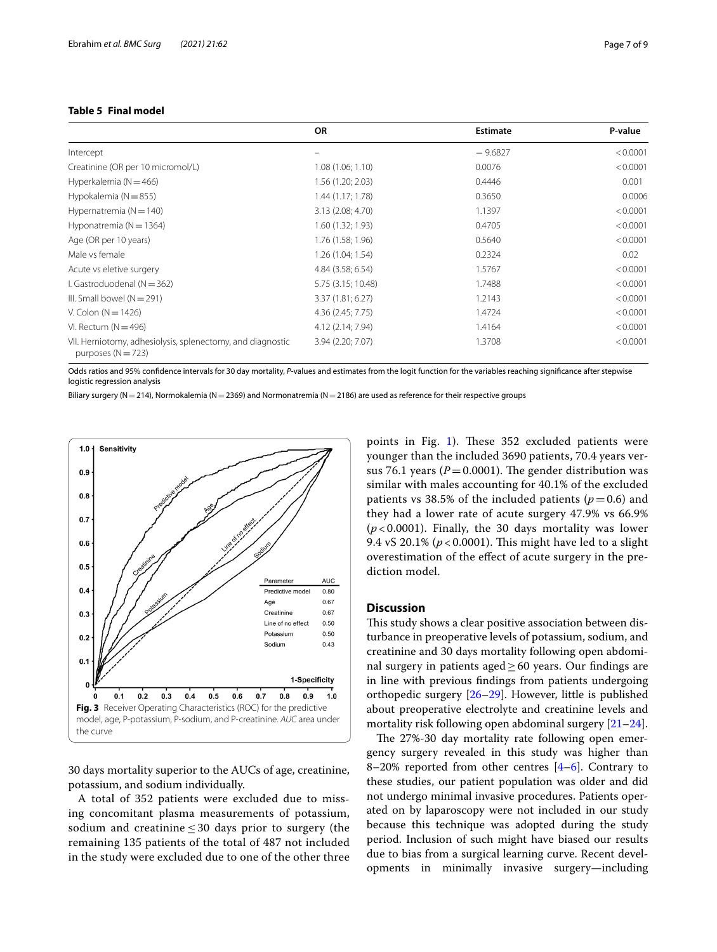<span id="page-6-0"></span>

|                                                                                    | <b>OR</b>          | <b>Estimate</b> | P-value  |
|------------------------------------------------------------------------------------|--------------------|-----------------|----------|
| Intercept                                                                          | $\equiv$           | $-9.6827$       | < 0.0001 |
| Creatinine (OR per 10 micromol/L)                                                  | 1.08(1.06; 1.10)   | 0.0076          | < 0.0001 |
| Hyperkalemia ( $N = 466$ )                                                         | 1.56 (1.20; 2.03)  | 0.4446          | 0.001    |
| Hypokalemia ( $N = 855$ )                                                          | 1.44(1.17; 1.78)   | 0.3650          | 0.0006   |
| Hypernatremia ( $N = 140$ )                                                        | 3.13 (2.08; 4.70)  | 1.1397          | < 0.0001 |
| Hyponatremia ( $N = 1364$ )                                                        | 1.60(1.32; 1.93)   | 0.4705          | < 0.0001 |
| Age (OR per 10 years)                                                              | 1.76 (1.58; 1.96)  | 0.5640          | < 0.0001 |
| Male vs female                                                                     | 1.26(1.04; 1.54)   | 0.2324          | 0.02     |
| Acute vs eletive surgery                                                           | 4.84 (3.58; 6.54)  | 1.5767          | < 0.0001 |
| I. Gastroduodenal ( $N = 362$ )                                                    | 5.75 (3.15; 10.48) | 1.7488          | < 0.0001 |
| III. Small bowel $(N = 291)$                                                       | 3.37(1.81; 6.27)   | 1.2143          | < 0.0001 |
| V. Colon ( $N = 1426$ )                                                            | 4.36 (2.45; 7.75)  | 1.4724          | < 0.0001 |
| VI. Rectum $(N = 496)$                                                             | 4.12 (2.14; 7.94)  | 1.4164          | < 0.0001 |
| VII. Herniotomy, adhesiolysis, splenectomy, and diagnostic<br>purposes $(N = 723)$ | 3.94 (2.20; 7.07)  | 1.3708          | < 0.0001 |

Odds ratios and 95% confdence intervals for 30 day mortality, *P*-values and estimates from the logit function for the variables reaching signifcance after stepwise logistic regression analysis

Biliary surgery (N=214), Normokalemia (N=2369) and Normonatremia (N=2186) are used as reference for their respective groups



<span id="page-6-1"></span>30 days mortality superior to the AUCs of age, creatinine, potassium, and sodium individually.

A total of 352 patients were excluded due to missing concomitant plasma measurements of potassium, sodium and creatinine  $\leq 30$  days prior to surgery (the remaining 135 patients of the total of 487 not included in the study were excluded due to one of the other three points in Fig. [1\)](#page-2-0). These  $352$  excluded patients were younger than the included 3690 patients, 70.4 years versus 76.1 years ( $P = 0.0001$ ). The gender distribution was similar with males accounting for 40.1% of the excluded patients vs 38.5% of the included patients ( $p=0.6$ ) and they had a lower rate of acute surgery 47.9% vs 66.9% (*p* < 0.0001). Finally, the 30 days mortality was lower 9.4 vS 20.1% ( $p < 0.0001$ ). This might have led to a slight overestimation of the efect of acute surgery in the prediction model.

### **Discussion**

This study shows a clear positive association between disturbance in preoperative levels of potassium, sodium, and creatinine and 30 days mortality following open abdominal surgery in patients aged≥60 years. Our fndings are in line with previous fndings from patients undergoing orthopedic surgery [\[26](#page-8-18)[–29\]](#page-8-19). However, little is published about preoperative electrolyte and creatinine levels and mortality risk following open abdominal surgery [\[21](#page-8-15)[–24\]](#page-8-16).

The 27%-30 day mortality rate following open emergency surgery revealed in this study was higher than 8–20% reported from other centres  $[4-6]$  $[4-6]$ . Contrary to these studies, our patient population was older and did not undergo minimal invasive procedures. Patients operated on by laparoscopy were not included in our study because this technique was adopted during the study period. Inclusion of such might have biased our results due to bias from a surgical learning curve. Recent developments in minimally invasive surgery—including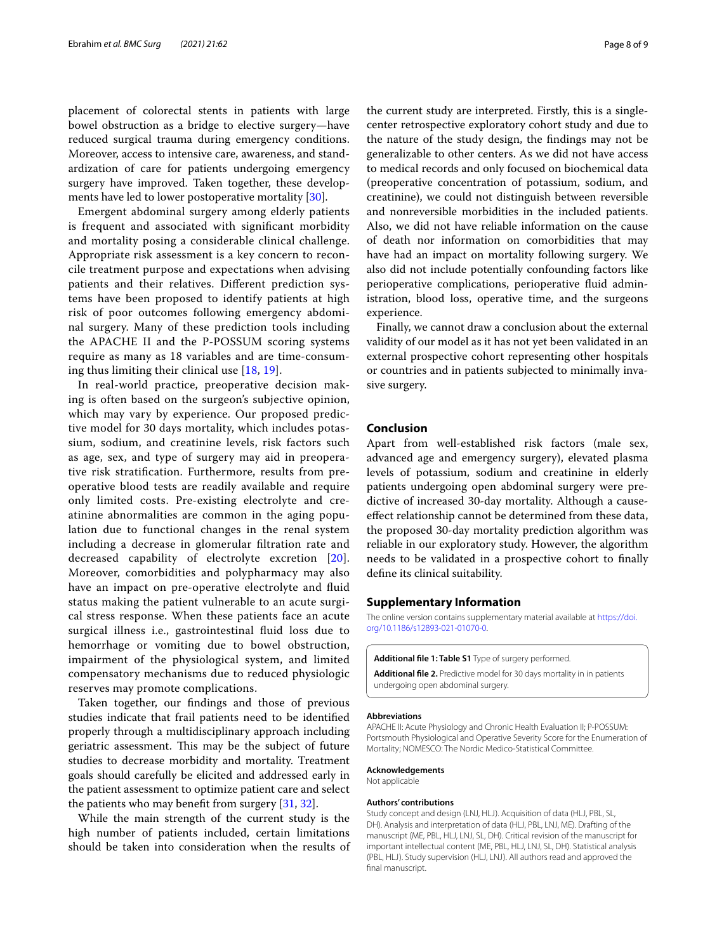placement of colorectal stents in patients with large bowel obstruction as a bridge to elective surgery—have reduced surgical trauma during emergency conditions. Moreover, access to intensive care, awareness, and standardization of care for patients undergoing emergency surgery have improved. Taken together, these developments have led to lower postoperative mortality [\[30\]](#page-8-21).

Emergent abdominal surgery among elderly patients is frequent and associated with signifcant morbidity and mortality posing a considerable clinical challenge. Appropriate risk assessment is a key concern to reconcile treatment purpose and expectations when advising patients and their relatives. Diferent prediction systems have been proposed to identify patients at high risk of poor outcomes following emergency abdominal surgery. Many of these prediction tools including the APACHE II and the P-POSSUM scoring systems require as many as 18 variables and are time-consuming thus limiting their clinical use [[18,](#page-8-12) [19\]](#page-8-13).

In real-world practice, preoperative decision making is often based on the surgeon's subjective opinion, which may vary by experience. Our proposed predictive model for 30 days mortality, which includes potassium, sodium, and creatinine levels, risk factors such as age, sex, and type of surgery may aid in preoperative risk stratifcation. Furthermore, results from preoperative blood tests are readily available and require only limited costs. Pre-existing electrolyte and creatinine abnormalities are common in the aging population due to functional changes in the renal system including a decrease in glomerular fltration rate and decreased capability of electrolyte excretion [[20\]](#page-8-14). Moreover, comorbidities and polypharmacy may also have an impact on pre-operative electrolyte and fuid status making the patient vulnerable to an acute surgical stress response. When these patients face an acute surgical illness i.e., gastrointestinal fuid loss due to hemorrhage or vomiting due to bowel obstruction, impairment of the physiological system, and limited compensatory mechanisms due to reduced physiologic reserves may promote complications.

Taken together, our fndings and those of previous studies indicate that frail patients need to be identifed properly through a multidisciplinary approach including geriatric assessment. This may be the subject of future studies to decrease morbidity and mortality. Treatment goals should carefully be elicited and addressed early in the patient assessment to optimize patient care and select the patients who may benefit from surgery [\[31,](#page-8-22) [32](#page-8-23)].

While the main strength of the current study is the high number of patients included, certain limitations should be taken into consideration when the results of

the current study are interpreted. Firstly, this is a singlecenter retrospective exploratory cohort study and due to the nature of the study design, the fndings may not be generalizable to other centers. As we did not have access to medical records and only focused on biochemical data (preoperative concentration of potassium, sodium, and creatinine), we could not distinguish between reversible and nonreversible morbidities in the included patients. Also, we did not have reliable information on the cause of death nor information on comorbidities that may have had an impact on mortality following surgery. We

also did not include potentially confounding factors like perioperative complications, perioperative fuid administration, blood loss, operative time, and the surgeons experience.

Finally, we cannot draw a conclusion about the external validity of our model as it has not yet been validated in an external prospective cohort representing other hospitals or countries and in patients subjected to minimally invasive surgery.

### **Conclusion**

Apart from well-established risk factors (male sex, advanced age and emergency surgery), elevated plasma levels of potassium, sodium and creatinine in elderly patients undergoing open abdominal surgery were predictive of increased 30-day mortality. Although a causeefect relationship cannot be determined from these data, the proposed 30-day mortality prediction algorithm was reliable in our exploratory study. However, the algorithm needs to be validated in a prospective cohort to fnally defne its clinical suitability.

#### **Supplementary Information**

The online version contains supplementary material available at [https://doi.](https://doi.org/10.1186/s12893-021-01070-0) [org/10.1186/s12893-021-01070-0](https://doi.org/10.1186/s12893-021-01070-0).

<span id="page-7-1"></span><span id="page-7-0"></span>**Additional fle 1: Table S1** Type of surgery performed.

**Additional fle 2.** Predictive model for 30 days mortality in in patients undergoing open abdominal surgery.

#### **Abbreviations**

APACHE II: Acute Physiology and Chronic Health Evaluation II; P-POSSUM: Portsmouth Physiological and Operative Severity Score for the Enumeration of Mortality; NOMESCO: The Nordic Medico-Statistical Committee.

#### **Acknowledgements**

Not applicable

#### **Authors' contributions**

Study concept and design (LNJ, HLJ). Acquisition of data (HLJ, PBL, SL, DH). Analysis and interpretation of data (HLJ, PBL, LNJ, ME). Drafting of the manuscript (ME, PBL, HLJ, LNJ, SL, DH). Critical revision of the manuscript for important intellectual content (ME, PBL, HLJ, LNJ, SL, DH). Statistical analysis (PBL, HLJ). Study supervision (HLJ, LNJ). All authors read and approved the final manuscript.